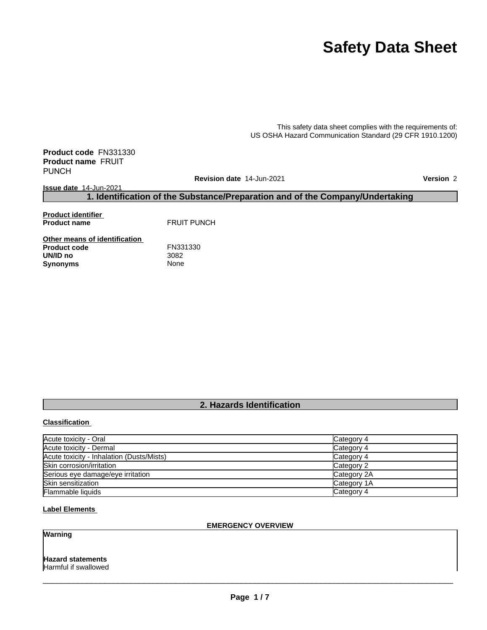# **Safety Data Sheet**

This safety data sheet complies with the requirements of: US OSHA Hazard Communication Standard (29 CFR 1910.1200)

**Product code** FN331330 **Product name** FRUIT PUNCH

**Revision date** 14-Jun-2021 **Version** 2

**Issue date** 14-Jun-2021

This safety data sheet complies with the requirements of:<br>
US OSHA Hazard Communication Standard (29 CFR 1910.1200)<br> **1. Identification of the Substance/Preparation and of the Company/Undertaking<br>
1. Identification of the Product identifier Product name** FRUIT PUNCH

**Other means of identification**<br>**Product code** FN331330 **Product code FN33**<br>**UN/ID no** 3082 **UN/ID no** 3082 **Synonyms** 

### **Classification**

| -,,                                       |                           |
|-------------------------------------------|---------------------------|
|                                           |                           |
|                                           |                           |
|                                           |                           |
|                                           |                           |
|                                           |                           |
|                                           |                           |
|                                           |                           |
|                                           |                           |
|                                           |                           |
|                                           |                           |
|                                           |                           |
|                                           |                           |
|                                           |                           |
|                                           |                           |
|                                           | 2. Hazards Identification |
| <b>Classification</b>                     |                           |
|                                           |                           |
| Acute toxicity - Oral                     | Category 4                |
| Acute toxicity - Dermal                   | Category 4                |
| Acute toxicity - Inhalation (Dusts/Mists) | Category 4                |
| Skin corrosion/irritation                 | Category 2                |
| Serious eye damage/eye irritation         | Category 2A               |
| Skin sensitization                        | Category 1A               |
| Flammable liquids                         | Category 4                |

### **Label Elements**

# **EMERGENCY OVERVIEW**

### **Warning**

# **Hazard statements**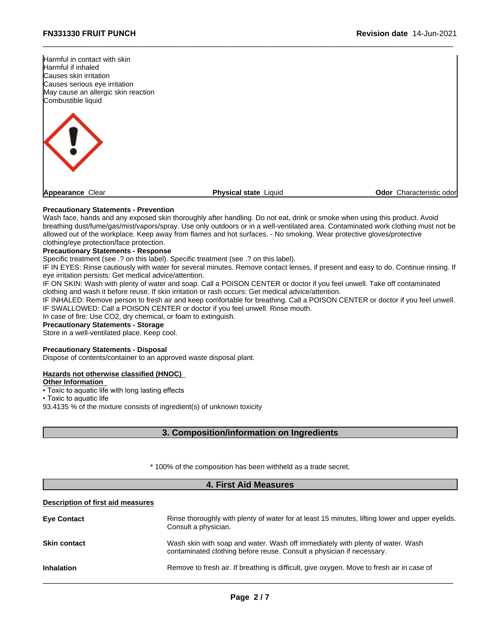

# **Precautionary Statements - Prevention**

Wash face, hands and any exposed skin thoroughly after handling. Do not eat, drink or smoke when using this product. Avoid breathing dust/fume/gas/mist/vapors/spray. Use only outdoors or in a well-ventilated area. Contaminated work clothing must not be allowed out of the workplace. Keep away from flames and hot surfaces. - No smoking. Wear protective gloves/protective clothing/eye protection/face protection.

### **Precautionary Statements - Response**

Specific treatment (see .? on this label). Specific treatment (see .? on this label).

IF IN EYES: Rinse cautiously with water for several minutes. Remove contact lenses, if present and easy to do. Continue rinsing. If eye irritation persists: Get medical advice/attention.

IF ON SKIN: Wash with plenty of water and soap. Call a POISON CENTER or doctor if you feel unwell. Take off contaminated clothing and wash it before reuse. If skin irritation or rash occurs: Get medical advice/attention.

IF INHALED: Remove person to fresh air and keep comfortable for breathing. Call a POISON CENTER or doctor if you feel unwell. IF SWALLOWED: Call a POISON CENTER or doctor if you feel unwell. Rinse mouth. air and keep comfortable for breathing. Call a POISON CENTER or doctor if you feel<br>NTER or doctor if you feel unwell. Rinse mouth.<br>N<sub>1</sub> or foam to extinguish.<br>2, or foam to extinguish.<br>2, or foam to extinguish.<br>al<br>poproved

In case of fire: Use CO2, dry chemical, or foam to extinguish.

# **Precautionary Statements - Storage**

Store in a well-ventilated place. Keep cool.

# **Precautionary Statements - Disposal**

### **Hazards not otherwise classified (HNOC)**

### **Other Information**

### **Description of first aid measures**

| Rinse thoroughly with plenty of water for at least 15 minutes, lifting lower and upper eyelids. |
|-------------------------------------------------------------------------------------------------|
| Wash skin with soap and water. Wash off immediately with plenty of water. Wash                  |
| Remove to fresh air. If breathing is difficult, give oxygen. Move to fresh air in case of       |
|                                                                                                 |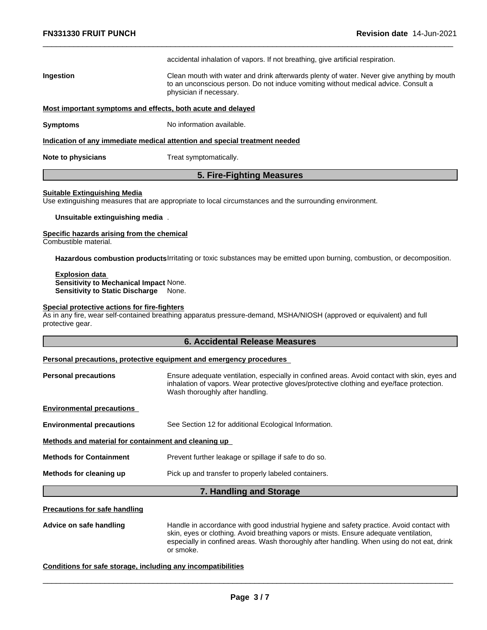|                                                             | accidental inhalation of vapors. If not breathing, give artificial respiration.                                                                                                                            |
|-------------------------------------------------------------|------------------------------------------------------------------------------------------------------------------------------------------------------------------------------------------------------------|
| Ingestion                                                   | Clean mouth with water and drink afterwards plenty of water. Never give anything by mouth<br>to an unconscious person. Do not induce vomiting without medical advice. Consult a<br>physician if necessary. |
| Most important symptoms and effects, both acute and delayed |                                                                                                                                                                                                            |
| Symptoms                                                    | No information available.                                                                                                                                                                                  |
|                                                             | Indication of any immediate medical attention and special treatment needed                                                                                                                                 |
| Note to physicians                                          | Treat symptomatically.                                                                                                                                                                                     |
|                                                             | 5. Fire-Fighting Measures                                                                                                                                                                                  |
| Suitable Extinguishing Media                                | Use extinguishing measures that are appropriate to local circumstances and the surrounding environment.                                                                                                    |
|                                                             |                                                                                                                                                                                                            |

### **Suitable Extinguishing Media**

**Unsuitable extinguishing media** .

### **Specific hazards arising from the chemical**

Combustible material.

**Hazardous combustion products**Irritating or toxic substances may be emitted upon burning, combustion, or decomposition.

### **Explosion data Sensitivity to Mechanical Impact** None. **Sensitivity to Static Discharge** None.

# **Special protective actions for fire-fighters**

As in any fire, wear self-contained breathing apparatus pressure-demand, MSHA/NIOSH (approved or equivalent) and full protective gear. **6. Accidental Release Measures**

### **Personal precautions, protective equipment and emergency procedures**

| <b>Personal precautions</b> | Ensure adequate ventilation, especially in confined areas. Avoid contact with skin, eyes and |
|-----------------------------|----------------------------------------------------------------------------------------------|
|                             | inhalation of vapors. Wear protective gloves/protective clothing and eye/face protection.    |
|                             | Wash thoroughly after handling.                                                              |
|                             |                                                                                              |

|                                                      | Personal precautions, protective equipment and emergency procedures                                                                                                                                                          |  |  |
|------------------------------------------------------|------------------------------------------------------------------------------------------------------------------------------------------------------------------------------------------------------------------------------|--|--|
| <b>Personal precautions</b>                          | Ensure adequate ventilation, especially in confined areas. Avoid contact with skin, eyes and<br>inhalation of vapors. Wear protective gloves/protective clothing and eye/face protection.<br>Wash thoroughly after handling. |  |  |
| <b>Environmental precautions</b>                     |                                                                                                                                                                                                                              |  |  |
| <b>Environmental precautions</b>                     | See Section 12 for additional Ecological Information.                                                                                                                                                                        |  |  |
| Methods and material for containment and cleaning up |                                                                                                                                                                                                                              |  |  |
| <b>Methods for Containment</b>                       | Prevent further leakage or spillage if safe to do so.                                                                                                                                                                        |  |  |
| Methods for cleaning up                              | Pick up and transfer to properly labeled containers.                                                                                                                                                                         |  |  |
|                                                      | 7. Handling and Storage                                                                                                                                                                                                      |  |  |
| <b>Precautions for safe handling</b>                 |                                                                                                                                                                                                                              |  |  |
| Advice on safe handling                              | Handle in accordance with good industrial hygiene and safety practice. Avoid contact with                                                                                                                                    |  |  |

### **Precautions for safe handling**

**Advice on safe handling** Handle in accordance with good industrial hygiene and safety practice. Avoid contact with skin, eyes or clothing. Avoid breathing vapors or mists. Ensure adequate ventilation, especially in confined areas. Wash thoroughly after handling. When using do not eat, drink or smoke.

### **Conditions for safe storage, including any incompatibilities**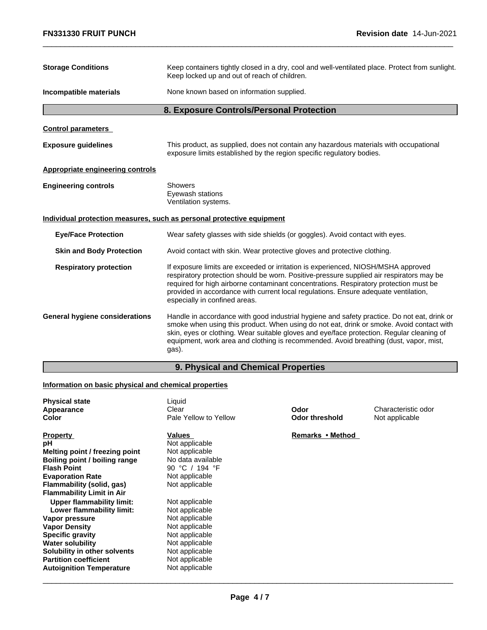| <b>FN331330 FRUIT PUNCH</b>                           | <b>Revision date 14-Jun-2021</b>                                                                                                                                                                                                                                                                                                                                                               |
|-------------------------------------------------------|------------------------------------------------------------------------------------------------------------------------------------------------------------------------------------------------------------------------------------------------------------------------------------------------------------------------------------------------------------------------------------------------|
| <b>Storage Conditions</b>                             | Keep containers tightly closed in a dry, cool and well-ventilated place. Protect from sunlight.<br>Keep locked up and out of reach of children.                                                                                                                                                                                                                                                |
| Incompatible materials                                | None known based on information supplied.                                                                                                                                                                                                                                                                                                                                                      |
|                                                       | 8. Exposure Controls/Personal Protection                                                                                                                                                                                                                                                                                                                                                       |
| <b>Control parameters</b>                             |                                                                                                                                                                                                                                                                                                                                                                                                |
| <b>Exposure guidelines</b>                            | This product, as supplied, does not contain any hazardous materials with occupational<br>exposure limits established by the region specific regulatory bodies.                                                                                                                                                                                                                                 |
| <b>Appropriate engineering controls</b>               |                                                                                                                                                                                                                                                                                                                                                                                                |
| <b>Engineering controls</b>                           | Showers<br>Eyewash stations<br>Ventilation systems.                                                                                                                                                                                                                                                                                                                                            |
|                                                       | Individual protection measures, such as personal protective equipment                                                                                                                                                                                                                                                                                                                          |
| <b>Eye/Face Protection</b>                            | Wear safety glasses with side shields (or goggles). Avoid contact with eyes.                                                                                                                                                                                                                                                                                                                   |
| <b>Skin and Body Protection</b>                       | Avoid contact with skin. Wear protective gloves and protective clothing.                                                                                                                                                                                                                                                                                                                       |
| <b>Respiratory protection</b>                         | If exposure limits are exceeded or irritation is experienced, NIOSH/MSHA approved<br>respiratory protection should be worn. Positive-pressure supplied air respirators may be<br>required for high airborne contaminant concentrations. Respiratory protection must be<br>provided in accordance with current local regulations. Ensure adequate ventilation,<br>especially in confined areas. |
| <b>General hygiene considerations</b>                 | Handle in accordance with good industrial hygiene and safety practice. Do not eat, drink or<br>smoke when using this product. When using do not eat, drink or smoke. Avoid contact with<br>skin, eyes or clothing. Wear suitable gloves and eye/face protection. Regular cleaning of<br>equipment, work area and clothing is recommended. Avoid breathing (dust, vapor, mist,<br>gas).         |
|                                                       | 9. Physical and Chemical Properties                                                                                                                                                                                                                                                                                                                                                            |
| Information on basic physical and chemical properties |                                                                                                                                                                                                                                                                                                                                                                                                |
| <b>Physical state</b>                                 | Liquid                                                                                                                                                                                                                                                                                                                                                                                         |

# **Information on basic physical and chemical properties**

| <b>Physical state</b><br>Appearance<br>Color | Liquid<br>Clear<br>Pale Yellow to Yellow | Odor<br><b>Odor threshold</b> | Characteristic odor<br>Not applicable |
|----------------------------------------------|------------------------------------------|-------------------------------|---------------------------------------|
| <b>Property</b>                              | Values                                   | Remarks • Method              |                                       |
| рH                                           | Not applicable                           |                               |                                       |
| Melting point / freezing point               | Not applicable                           |                               |                                       |
| Boiling point / boiling range                | No data available                        |                               |                                       |
| <b>Flash Point</b>                           | 90 °C / 194 °F                           |                               |                                       |
| <b>Evaporation Rate</b>                      | Not applicable                           |                               |                                       |
| Flammability (solid, gas)                    | Not applicable                           |                               |                                       |
| <b>Flammability Limit in Air</b>             |                                          |                               |                                       |
| Upper flammability limit:                    | Not applicable                           |                               |                                       |
| Lower flammability limit:                    | Not applicable                           |                               |                                       |
| Vapor pressure                               | Not applicable                           |                               |                                       |
| <b>Vapor Density</b>                         | Not applicable                           |                               |                                       |
| <b>Specific gravity</b>                      | Not applicable                           |                               |                                       |
| <b>Water solubility</b>                      | Not applicable                           |                               |                                       |
| Solubility in other solvents                 | Not applicable                           |                               |                                       |
| <b>Partition coefficient</b>                 | Not applicable                           |                               |                                       |
| <b>Autoignition Temperature</b>              | Not applicable                           |                               |                                       |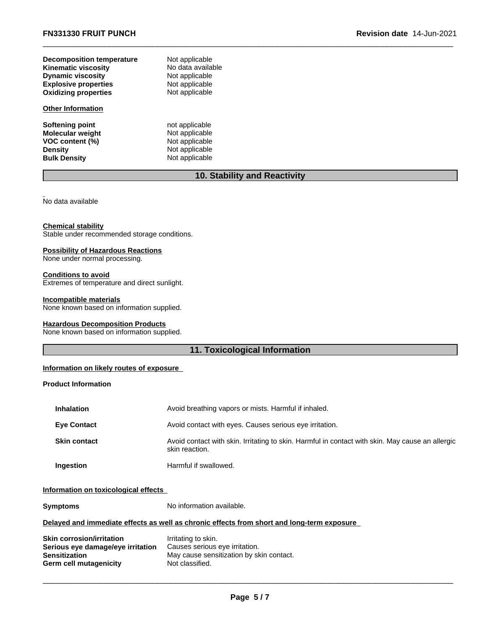|                                  | 10. Stability and Reactivity |  |
|----------------------------------|------------------------------|--|
| <b>Bulk Density</b>              | Not applicable               |  |
| <b>Density</b>                   | Not applicable               |  |
| VOC content (%)                  | Not applicable               |  |
| <b>Molecular weight</b>          | Not applicable               |  |
| <b>Softening point</b>           | not applicable               |  |
| <b>Other Information</b>         |                              |  |
| <b>Oxidizing properties</b>      | Not applicable               |  |
| <b>Explosive properties</b>      | Not applicable               |  |
| <b>Dynamic viscosity</b>         | Not applicable               |  |
| <b>Kinematic viscosity</b>       | No data available            |  |
| <b>Decomposition temperature</b> | Not applicable               |  |

 $\_$  ,  $\_$  ,  $\_$  ,  $\_$  ,  $\_$  ,  $\_$  ,  $\_$  ,  $\_$  ,  $\_$  ,  $\_$  ,  $\_$  ,  $\_$  ,  $\_$  ,  $\_$  ,  $\_$  ,  $\_$  ,  $\_$  ,  $\_$  ,  $\_$  ,  $\_$  ,  $\_$  ,  $\_$  ,  $\_$  ,  $\_$  ,  $\_$  ,  $\_$  ,  $\_$  ,  $\_$  ,  $\_$  ,  $\_$  ,  $\_$  ,  $\_$  ,  $\_$  ,  $\_$  ,  $\_$  ,  $\_$  ,  $\_$  ,

### **Chemical stability**

Stable under recommended storage conditions.

# **Possibility of Hazardous Reactions**

None under normal processing.

# **Conditions to avoid**

Extremes of temperature and direct sunlight.

### **Incompatible materials**

None known based on information supplied.

# **Hazardous Decomposition Products**

None known based on information supplied.

# **11. Toxicological Information**

# **Information on likely routes of exposure**

# **Product Information**

| <b>Inhalation</b>   | Avoid breathing vapors or mists. Harmful if inhaled.                                                               |
|---------------------|--------------------------------------------------------------------------------------------------------------------|
| <b>Eye Contact</b>  | Avoid contact with eyes. Causes serious eye irritation.                                                            |
| <b>Skin contact</b> | Avoid contact with skin. Irritating to skin. Harmful in contact with skin. May cause an allergic<br>skin reaction. |
| Ingestion           | Harmful if swallowed.                                                                                              |

# **Information on toxicological effects**

| Symptoms                                                                                                  | No information available.                                                                                            |
|-----------------------------------------------------------------------------------------------------------|----------------------------------------------------------------------------------------------------------------------|
|                                                                                                           | Delayed and immediate effects as well as chronic effects from short and long-term exposure                           |
| Skin corrosion/irritation<br>Serious eye damage/eye irritation<br>Sensitization<br>Germ cell mutagenicity | Irritating to skin.<br>Causes serious eye irritation.<br>May cause sensitization by skin contact.<br>Not classified. |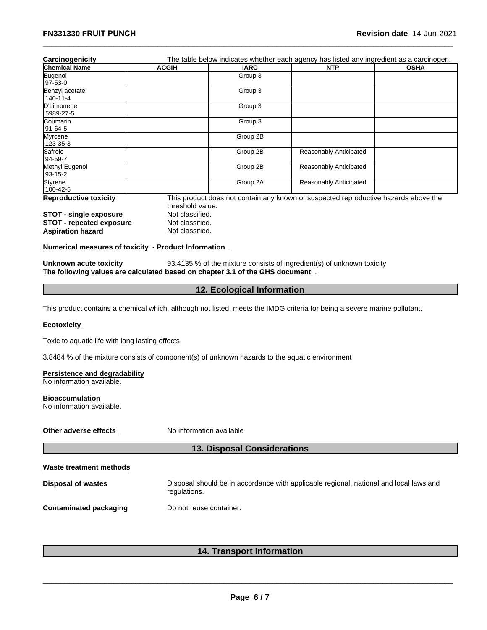| Carcinogenicity                 |                                                                               |                            | The table below indicates whether each agency has listed any ingredient as a carcinogen.                                  |             |
|---------------------------------|-------------------------------------------------------------------------------|----------------------------|---------------------------------------------------------------------------------------------------------------------------|-------------|
| <b>Chemical Name</b>            | <b>ACGIH</b>                                                                  | <b>IARC</b>                | <b>NTP</b>                                                                                                                | <b>OSHA</b> |
| Eugenol                         |                                                                               | Group 3                    |                                                                                                                           |             |
| 97-53-0                         |                                                                               |                            |                                                                                                                           |             |
| Benzyl acetate                  |                                                                               | Group 3                    |                                                                                                                           |             |
| 140-11-4                        |                                                                               |                            |                                                                                                                           |             |
| D'Limonene                      |                                                                               | Group 3                    |                                                                                                                           |             |
| 5989-27-5                       |                                                                               |                            |                                                                                                                           |             |
| Coumarin                        |                                                                               | Group 3                    |                                                                                                                           |             |
| 91-64-5                         |                                                                               |                            |                                                                                                                           |             |
| Myrcene                         |                                                                               | Group 2B                   |                                                                                                                           |             |
| 123-35-3                        |                                                                               |                            |                                                                                                                           |             |
| Safrole                         |                                                                               | Group 2B                   | Reasonably Anticipated                                                                                                    |             |
| 94-59-7                         |                                                                               |                            |                                                                                                                           |             |
| Methyl Eugenol                  |                                                                               | Group 2B                   | Reasonably Anticipated                                                                                                    |             |
| 93-15-2                         |                                                                               |                            |                                                                                                                           |             |
| Styrene                         |                                                                               | Group 2A                   | Reasonably Anticipated                                                                                                    |             |
| 100-42-5                        |                                                                               |                            |                                                                                                                           |             |
| <b>Reproductive toxicity</b>    |                                                                               |                            | This product does not contain any known or suspected reproductive hazards above the                                       |             |
|                                 | threshold value.                                                              |                            |                                                                                                                           |             |
| <b>STOT - single exposure</b>   | Not classified.                                                               |                            |                                                                                                                           |             |
| <b>STOT - repeated exposure</b> | Not classified.                                                               |                            |                                                                                                                           |             |
| <b>Aspiration hazard</b>        | Not classified.                                                               |                            |                                                                                                                           |             |
|                                 | Numerical measures of toxicity - Product Information                          |                            |                                                                                                                           |             |
| Unknown acute toxicity          |                                                                               |                            | 93.4135 % of the mixture consists of ingredient(s) of unknown toxicity                                                    |             |
|                                 | The following values are calculated based on chapter 3.1 of the GHS document. |                            |                                                                                                                           |             |
|                                 |                                                                               | 12. Ecological Information |                                                                                                                           |             |
|                                 |                                                                               |                            |                                                                                                                           |             |
|                                 |                                                                               |                            | This product contains a chemical which, although not listed, meets the IMDG criteria for being a severe marine pollutant. |             |
| <b>Ecotovicity</b>              |                                                                               |                            |                                                                                                                           |             |

 $\_$  ,  $\_$  ,  $\_$  ,  $\_$  ,  $\_$  ,  $\_$  ,  $\_$  ,  $\_$  ,  $\_$  ,  $\_$  ,  $\_$  ,  $\_$  ,  $\_$  ,  $\_$  ,  $\_$  ,  $\_$  ,  $\_$  ,  $\_$  ,  $\_$  ,  $\_$  ,  $\_$  ,  $\_$  ,  $\_$  ,  $\_$  ,  $\_$  ,  $\_$  ,  $\_$  ,  $\_$  ,  $\_$  ,  $\_$  ,  $\_$  ,  $\_$  ,  $\_$  ,  $\_$  ,  $\_$  ,  $\_$  ,  $\_$  ,

### **Ecotoxicity**

Toxic to aquatic life with long lasting effects

3.8484 % of the mixture consists of component(s) of unknown hazards to the aquatic environment (s) of unknown hazards to the aquatic environment<br>**13. Disposal Considerations**<br>Il should be in accordance with annlicable regional, national and lo

# **Persistence and degradability**

No information available.

### **Bioaccumulation**

No information available.

**Other adverse effects** No information available

### **Waste treatment methods**

- **Disposal of wastes** Disposal should be in accordance with applicable regional, national and local laws and regulations. **14. Disposal Considerations<br>
14. Disposal Considerations<br>
International and locations<br>
Internation<br>
14. Transport Information<br>
14. Transport Information**
- **Contaminated packaging Theory Do not reuse container.**